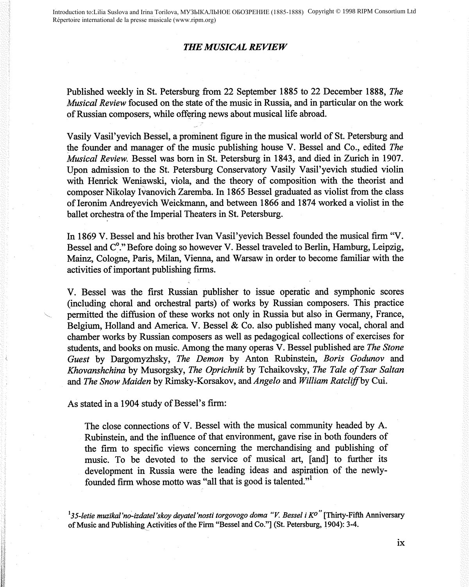Introduction to:Lilia Suslova and Irina Torilova, МУЗЫКАЛЬНОЕ ОБОЗРЕНИЕ (1885-1888) Соругіght © 1998 RIPM Consortium Ltd Répertoire international de la presse musicale (www.ripm.org)

## *THE MUSICAL REVIEW*

Published weekly in St. Petersburg from 22 September 1885 to 22 December 1888, *The Musical Review* focused on the state of the music in Russia, and in particular on the work of Russian composers, while offering news about musical life abroad.

Vasily Vasil' yevich Bessel, a prominent figure in the musical world of St. Petersburg and the founder and manager of the music publishing house V. Bessel and Co., edited *The Musical Review.* Bessel was born in St. Petersburg in 1843, and died in Zurich in 1907. Upon admission to the St. Petersburg Conservatory Vasily Vasil'yevich studied violin with Henrick Weniawski, viola, and the theory of composition with the theorist and composer Nikolay Ivanovich Zaremba. In 1865 Bessel graduated as violist from the class ofieronim Andreyevich Weickmann, and between 1866 and 1874 worked a violist in the ballet orchestra of the Imperial Theaters in St. Petersburg.

In 1869 V. Bessel and his brother Ivan Vasil'yevich Bessel founded the musical firm "V. Bessel and C<sup>o</sup>." Before doing so however V. Bessel traveled to Berlin, Hamburg, Leipzig, Mainz, Cologne, Paris, Milan, Vienna, and Warsaw in order to become familiar with the activities of important publishing firms.

V. Bessel was the first Russian publisher to issue operatic and symphonic scores (including choral and orchestral parts) of works by Russian composers. This practice permitted the diffusion of these works not only in Russia but also in Germany, France, Belgium, Holland and America. V. Bessel & Co. also published many vocal, choral and chamber works by Russian composers as well as pedagogical collections of exercises for students, and books on music. Among the many operas V. Bessel published are *The Stone Guest* by Dargomyzhsky, *The Demon* by Anton Rubinstein, *Boris Godunov* and *Khovanshchina* by Musorgsky, *The Oprichnik* by Tchaikovsky, *The Tale of Tsar Sa/tan*  and *The Snow Maiden* by Rimsky-Korsakov, and *Angelo* and *William Ratclif.fby* Cui.

As stated in a 1904 study of Bessel's firm:

The close connections of V. Bessel with the musical community headed by A. Rubinstein, and the influence of that environment, gave rise in both founders of the firm to specific views concerning the merchandising and publishing of music. To be devoted to the service of musical art, [and] to further its development in Russia were the leading ideas and aspiration of the newlyfounded firm whose motto was "all that is good is talented."<sup>1</sup>

<sup>1</sup>35-letie muzikal'no-izdatel'skoy deyatel'nosti torgovogo doma "V. Bessel i K<sup>o"</sup> [Thirty-Fifth Anniversary of Music and Publishing Activities of the Firm "Bessel and Co."] (St. Petersburg, 1904): 3-4.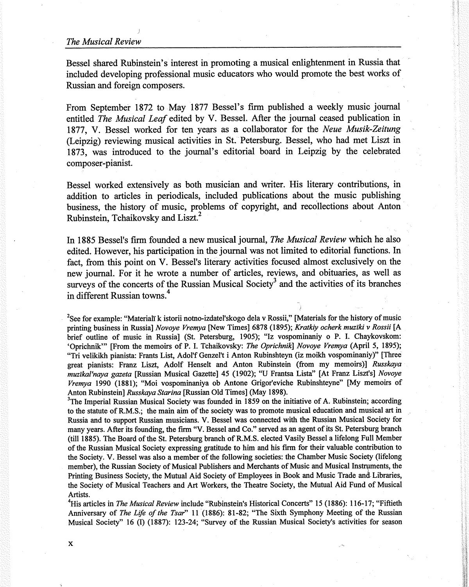## *The Musical Review*

Bessel shared Rubinstein's interest in promoting a musical enlightenment in Russia that included developing professional music educators who would promote the best works of Russian and foreign composers.

From September 1872 to May 1877 Bessel's firm published a weekly music journal entitled *The Musical Leaf* edited by V. Bessel. After the journal ceased publication in 1877, V. Bessel worked for ten years as a collaborator for the *Neue Musik-Zeitung*  (Leipzig) reviewing musical activities in St. Petersburg. Bessel, who had met Liszt in 1873, was introduced to the journal's editorial board in Leipzig by the celebrated composer-pianist.

Bessel worked extensively as both musician and writer. His literary contributions, in addition to articles in periodicals, included publications about the music publishing business, the history of music, problems of copyright, and recollections about Anton Rubinstein, Tchaikovsky and Liszt.<sup>2</sup>

In 1885 Bessel's firm founded a new musical journal, *The Musical Review* which he also edited. However, his participation in the journal was not limited to editorial functions. In fact, from this point on V. Bessel's literary activities focused almost exclusively on the new journal. For it he wrote a number of articles, reviews, and obituaries, as well as surveys of the concerts of the Russian Musical Society<sup>3</sup> and the activities of its branches in different Russian towns.<sup>4</sup>

<sup>2</sup>See for example: "Materiali k istorii notno-izdatel'skogo dela v Rossii," [Materials for the history of music printing business in Russia] *Novoye Vremya* [New Times] 6878 (1895); *Kratkiy ocherk muziki v Rossii* [A brief outline of music in Russia] (St. Petersburg, 1905); "Iz vospominaniy o P. I. Chaykovskom: 'Oprichnik"' [From the memoirs of P. I. Tchaikovsky: *The Oprichnik] Novoye Vremya* (April 5, 1895); "Tri velikikh pianista: Frants List, Adol'f Genzel't i Anton Rubinshteyn (iz moikh vospominaniy)" [Three great pianists: Franz Liszt, Adolf Henselt and Anton Rubinstein (from my memoirs)] *Russkaya muz'ikal'naya gazeta* [Russian Musical Gazette] 45 (1902); "U Frantsa Lista" [At Franz Liszt's] *Novoye Vremya* 1990 (1881); "Moi vospominaniya ob Antone Grigor'eviche Rubinshteyne" [My memoirs of Anton Rubinstein] *Russkaya Starina* [Russian Old Times] (May 1898).

<sup>3</sup>The Imperial Russian Musical Society was founded in 1859 on the initiative of A. Rubinstein; according to the statute of R.M.S.; the main aim of the society was to promote musical education and musical art in Russia and to support Russian musicians. V. Bessel was connected with the Russian Musical Society for many years. After its founding, the firm "V. Bessel and Co." served as an agent of its St. Petersburg branch (till 1885). The Board of the St. Petersburg branch ofR.M.S. elected Vasily Bessel a lifelong Full Member of the Russian Musical Society expressing gratitude to him and his firm for their valuable contribution to the Society. V. Bessel was also a member of the following societies: the Chamber Music Society (lifelong member), the Russian Society of Musical Publishers and Merchants of Music and Musical Instruments, the Printing Business Society, the Mutual Aid Society of Employees in Book and Music Trade and Libraries, the Society of Musical Teachers and Art Workers, the Theatre Society, the Mutual Aid Fund of Musical Artists.

'1Iis articles in *The Musical Review* include "Rubinstein's Historical Concerts" 15 (1886): 116-17; "Fiftieth Anniversary of *The Life of the Tsar"* 11 (1886): 81-82; "The Sixth Symphony Meeting of the Russian Musical Society" 16 (I) (1887): 123-24; "Survey of the Russian Musical Society's activities for season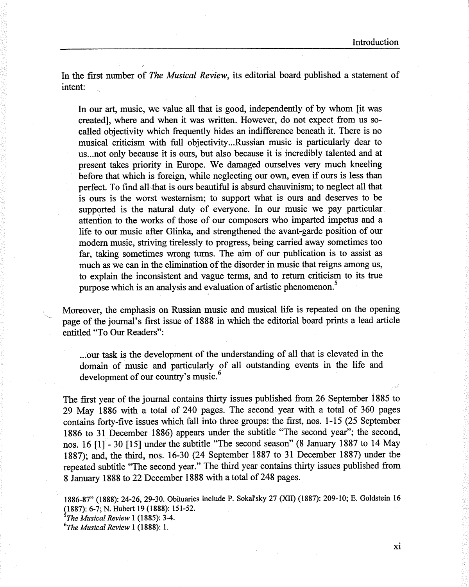In the first number of *The Musical Review,* its editorial board published a statement of intent:

In our art, music, we value all that is good, independently of by whom [it was created], where and when it was written. However, do not expect from us socalled objectivity which frequently hides an indifference beneath it. There is no musical criticism with full objectivity ... Russian music is particularly dear to us ... not only because it is ours, but also because it is incredibly talented and at present takes priority in Europe. We damaged ourselves very much kneeling before that which is foreign, while neglecting our own, even if ours is less than perfect. To find all that is ours beautiful is absurd chauvinism; to neglect all that is ours is the worst westernism; to support what is ours and deserves to be supported is the natural duty of everyone. In our music we pay particular attention to the works of those of our composers who imparted impetus and a life to our music after Glinka, and strengthened the avant-garde position of our modem music, striving tirelessly to progress, being carried away sometimes too far, taking sometimes wrong turns. The aim of our publication is to assist as much as we can in the elimination of the disorder in music that reigns among us, to explain the inconsistent and vague terms, and to return criticism to its true purpose which is an analysis and evaluation of artistic phenomenon. *<sup>5</sup>*

Moreover, the emphasis on Russian music and musical life is repeated on the opening page of the journal's first issue of **1888** in which the editorial board prints a lead article entitled "To Our Readers":

... our task is the development of the understanding of all that is elevated in the domain of music and particularly of all outstanding events in the life and development of our country's music.<sup>6</sup>

The first year of the journal contains thirty issues published from 26 September 1885 to 29 May 1886 with a total of 240 pages. The second year with a total of 360 pages contains forty-five issues which fall into three groups: the first, nos. 1-15 (25 September 1886 to <sup>31</sup>December 1886) appears under the subtitle "The second year"; the second, nos. 16 [1] - 30 [15] under the subtitle "The second season" (8 January 1887 to 14 May 1887); and, the third, nos. 16-30 (24 September 1887 to 31 December 1887) under the repeated subtitle "The second year." The third year contains thirty issues published from 8 January 1888 to 22 December 1888 with a total of 248 pages.

1886-87" (1888): 24-26, 29-30. Obituaries include P. Sokal'sky 27 (XII) (1887): 209-10; E. Goldstein 16 (1887): 6-7; N. Hubert 19 (1888): 151-52.

5 *The Musical Review* 1 (1885): 3-4.

*6 The Musical Review* 1 (1888): 1.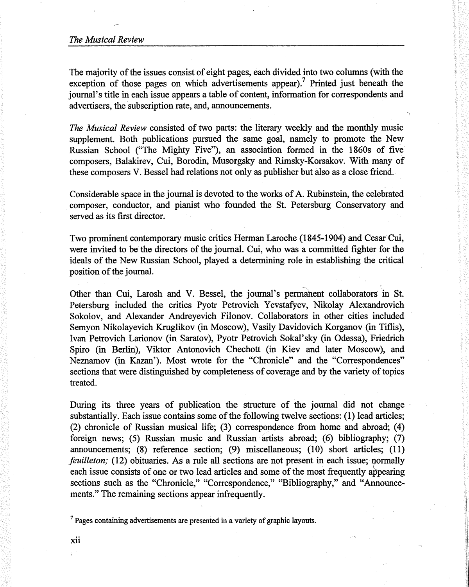The majority of the issues consist of eight pages, each divided into two columns (with the exception of those pages on which advertisements appear).<sup>7</sup> Printed just beneath the journal's title in each issue appears a table of content, information for correspondents and advertisers, the subscription rate, and, announcements.

*The Musical Review* consisted of two parts: the literary weekly and the monthly music supplement. Both publications pursued the same goal, namely to promote the New Russian School ("The Mighty Five"), an association formed in the 1860s of five composers, Balakirev, Cui, Borodin, Musorgsky and Rimsky-Korsakov. With many of these composers V. Bessel had relations not only as publisher but also as a close friend.

Considerable space in the journal is devoted to the works of A. Rubinstein, the celebrated composer, conductor, and pianist who 'founded the St. Petersburg Conservatory and served as its first director.

Two prominent contemporary music critics Herman Laroche (1845-1904) and Cesar Cui, were invited to be the directors of the journal. Cui, who was a committed fighter for the ideals of the New Russian School, played a determining role in establishing the critical position of the journal.

Other than Cui, Larosh and V. Bessel, the journal's permanent collaborators in St. Petersburg included the critics Pyotr Petrovich Yevstafyev, Nikolay Alexandrovich Sokolov, and Alexander Andreyevich Filonov. Collaborators in other cities included Semyon Nikolayevich Kruglikov (in Moscow), Vasily Davidovich Korganov (in Tiflis), Ivan Petrovich Larionov (in Saratov), Pyotr Petrovich Sokal'sky (in Odessa), Friedrich Spiro (in Berlin), Viktor Antonovich Chechott (in Kiev and later Moscow), and Neznamov (in Kazan'). Most wrote for the "Chronicle" and the "Correspondences" sections that were distinguished by completeness of coverage and by the variety of topics treated.

During its three years of publication the structure of the journal did not change substantially. Each issue contains some of the following twelve sections: (1) lead articles; (2) chronicle of Russian musical life; (3) correspondence from home and abroad; ( 4) foreign news; (5) Russian music and Russian artists abroad; (6) bibliography; (7) announcements; (8) reference section; (9) miscellaneous; (10) short articles; (11) *feuilleton;* (12) obituaries. As a rule all sections are not present in each issue; normally each issue consists of one or two lead articles and some of the most frequently appearing sections such as the "Chronicle," "Correspondence," "Bibliography," and "Announcements." The remaining sections appear infrequently.

 $<sup>7</sup>$  Pages containing advertisements are presented in a variety of graphic layouts.</sup>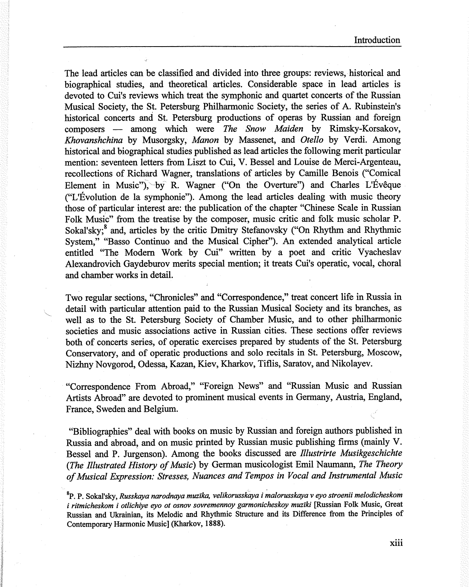The lead articles can be classified and divided into three groups: reviews, historical and biographical studies, and theoretical articles. Considerable space in lead articles is devoted to Cui's reviews which treat the symphonic and quartet concerts of the Russian Musical Society, the St. Petersburg Philharmonic Society, the series of A. Rubinstein's historical concerts and St. Petersburg productions of operas by Russian and foreign composers - among which were *The Snow Maiden* by Rimsky-Korsakov, *Khovanshchina* by Musorgsky, *Manon* by Massenet, and *Otello* by Verdi. Among historical and biographical studies published as lead articles the following merit particular mention: seventeen letters from Liszt to Cui, V. Bessel and Louise de Merci-Argenteau, recollections of Richard Wagner, translations of articles by Camille Benois ("Comical Element in Music"), by R. Wagner ("On the Overture") and Charles L'Evêque ("L'Evolution de la symphonie"). Among the lead articles dealing with music theory those of particular interest are: the publication of the chapter "Chinese Scale in Russian Folk Music" from the treatise by the composer, music critic and folk music scholar P. Sokal'sky;<sup>8</sup> and, articles by the critic Dmitry Stefanovsky ("On Rhythm and Rhythmic System," "Basso Continuo and the Musical Cipher"). An extended analytical article entitled "The Modern Work by Cui" written by a poet and critic Vyacheslav Alexandrovich Gaydeburov merits special mention; it treats Cui's operatic, vocal, choral and chamber works in detail.

Two regular sections, "Chronicles" and "Correspondence," treat concert life in Russia in detail with particular attention paid to the Russian Musical Society and its branches, as well as to the St. Petersburg Society of Chamber Music, and to other philharmonic societies and music associations active in Russian cities. These sections offer reviews both of concerts series, of operatic exercises prepared by students of the St. Petersburg Conservatory, and of operatic productions and solo recitals in St. Petersburg, Moscow, Nizhny Novgorod, Odessa, Kazan, Kiev, Kharkov, Tiflis, Saratov, and Nikolayev.

"Correspondence From Abroad," "Foreign News" and "Russian Music and Russian Artists Abroad" are devoted to prominent musical events in Germany, Austria, England, France, Sweden and Belgium.

"Bibliographies" deal with books on music by Russian and foreign authors published in Russia and abroad, and on music printed by Russian music publishing firms (mainly V. Bessel and P. Jurgenson). Among the books discussed are *Rlustrirte Musikgeschichte (The fllustrated History of Music)* by German musicologist Emil Naumann, *The Theory of Musical Expression: Stresses, Nuances and Tempos in Vocal and Instrumental Music* 

 $^8{\rm P.}$  P. Sokal'sky, *Russkaya narodnaya muzïka, velikorusskaya i malorusskaya v eyo stroenii melodicheskom i ritmicheskom i otlichiye eyo ot osnov sovremennoy garmonicheskoy muziki [Russian Folk Music, Great* Russian and Ukrainian, its Melodic and Rhythmic Structure and its Difference from the Principles of Contemporary Harmonic Music] (Kharkov, **1888).**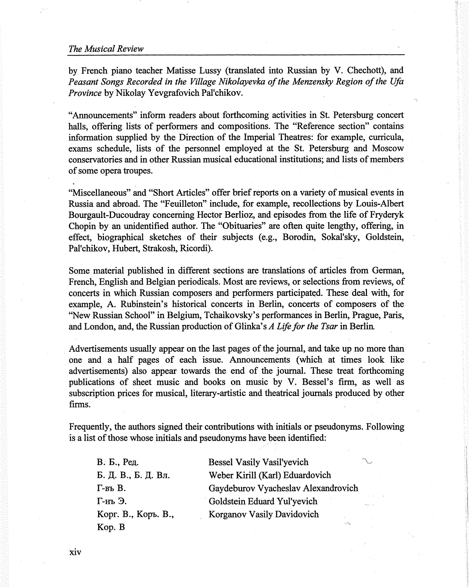## *The Musical Review*

by French piano teacher Matisse Lussy (translated into Russian by V. Chechott), and *Peasant Songs Recorded in the Village Nikolayevka of the Menzensky Region of the Ufa Province* by Nikolay Yevgrafovich Pal'chikov.

"Announcements" inform readers about forthcoming activities in St. Petersburg concert halls, offering lists of performers and compositions. The "Reference section" contains information supplied by the Direction of the Imperial Theatres: for example, curricula, exams schedule, lists of the personnel employed at the St. Petersburg and Moscow conservatories and in other Russian musical educational institutions; and lists of members of some opera troupes.

"Miscellaneous" and "Short Articles" offer brief reports on a variety of musical events in Russia and abroad. The "Feuilleton" include, for example, recollections by Louis-Albert Bourgault-Ducoudray concerning Hector Berlioz, and episodes from the life of Fryderyk Chopin by an unidentified author. The "Obituaries" are often quite lengthy, offering, in effect, biographical sketches of their subjects (e.g., Borodin, Sokal'sky, Goldstein, Pal'chikov, Hubert, Strakosh, Ricordi).

Some material published in different sections are translations of articles from German, French, English and Belgian periodicals. Most are reviews, or selections from reviews, of concerts in which Russian composers and performers participated. These deal with, for example, A. Rubinstein's historical concerts in Berlin, concerts of composers of the "New Russian School" in Belgium, Tchaikovsky's performances in Berlin, Prague, Paris, and London, and, the Russian production of Glinka' s *A Life for the Tsar* in Berlin.

Advertisements usually appear on the last pages of the journal, and take up no more than one and a half pages of each issue. Announcements (which at times look like advertisements) also appear towards the end of the journal. These treat forthcoming publications of sheet music and books on music by V. Bessel's firm, as well as subscription prices for musical, literary-artistic and theatrical journals produced by other firms.

Frequently, the authors signed their contributions with initials or pseudonyms. Following is a list of those whose initials and pseudonyms have been identified:

В. Б., Ред. Б. Д. В., Б. Д. Вл.  $\Gamma$ -въ В. r-m 3. Kopr. B., Kopo. B., Kop.B

Bessel Vasily Vasil'yevich Weber Kirill (Karl) Eduardovich Gaydeburov Vyacheslav Alexandrovich Goldstein Eduard Yul'yevich Korganov Vasily Davidovich

xiv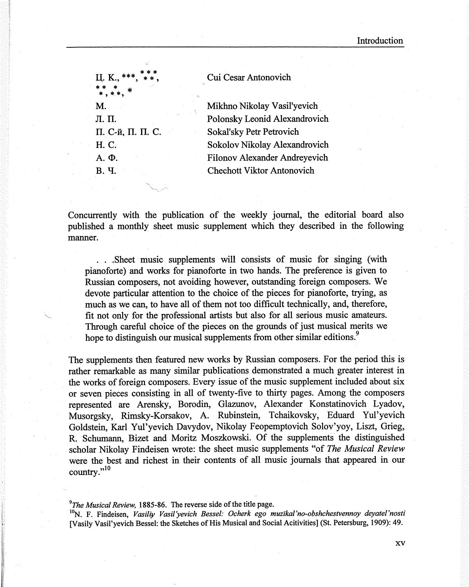| Ц. К.,<br>** *<br>*.**. * | Cui Cesar Antonovich                 |
|---------------------------|--------------------------------------|
| М.                        | Mikhno Nikolay Vasil'yevich          |
| Л. П.                     | Polonsky Leonid Alexandrovich        |
| П. С-й, П. П. С.          | Sokal'sky Petr Petrovich             |
| H. C.                     | Sokolov Nikolay Alexandrovich        |
| А.Ф.                      | <b>Filonov Alexander Andreyevich</b> |
| В. Ч.                     | <b>Chechott Viktor Antonovich</b>    |

Concurrently with the publication of the weekly journal, the editorial board also published a monthly sheet music supplement which they described in the following manner.

. . .Sheet music supplements will consists of music for singing (with pianoforte) and works for pianoforte in two hands. The preference is given to Russian composers, not avoiding however, outstanding foreign composers. We devote particular attention to the choice of the pieces for pianoforte, trying, as much as we can, to have all of them not too difficult technically, and, therefore, fit not only for the professional artists but also for all serious music amateurs. Through careful choice of the pieces on the grounds of just musical merits we hope to distinguish our musical supplements from other similar editions.<sup>9</sup>

The supplements then featured new works by Russian composers. For the period this is rather remarkable as many similar publications demonstrated a much greater interest in the works of foreign composers. Every issue of the music supplement included about six or seven pieces consisting in all of twenty-five to thirty pages. Among the composers represented are Arensky, Borodin, Glazunov, Alexander Konstatinovich Lyadov, Musorgsky, Rimsky-Korsakov, A. Rubinstein, Tchaikovsky, Eduard Yul'yevich Goldstein, Karl Yul'yevich Davydov, Nikolay Feopemptovich Solov'yoy, Liszt, Grieg, R. Schumann, Bizet and Moritz Moszkowski. Of the supplements the distinguished scholar Nikolay Findeisen wrote: the sheet music supplements "of *The Musical Review*  were the best and richest in their contents of all music journals that appeared in our country."<sup>10</sup>

*9 The Musical Review,* **1885-86.** The reverse side of the title page.

1 °N. F. Findeisen, *Vasiliy Vasil'yevich Bessel: Ocherk ego muzikal'no-obshchestvennoy deyatel'nosti*  [Vasily Vasil'yevich Bessel: the Sketches of His Musical and Social Acitivities] (St. Petersburg, 1909): 49.